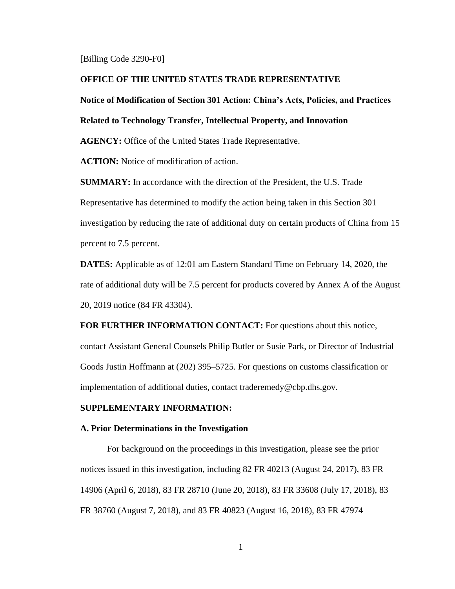[Billing Code 3290-F0]

### **OFFICE OF THE UNITED STATES TRADE REPRESENTATIVE**

# **Notice of Modification of Section 301 Action: China's Acts, Policies, and Practices**

# **Related to Technology Transfer, Intellectual Property, and Innovation**

**AGENCY:** Office of the United States Trade Representative.

**ACTION:** Notice of modification of action.

**SUMMARY:** In accordance with the direction of the President, the U.S. Trade Representative has determined to modify the action being taken in this Section 301 investigation by reducing the rate of additional duty on certain products of China from 15 percent to 7.5 percent.

**DATES:** Applicable as of 12:01 am Eastern Standard Time on February 14, 2020, the rate of additional duty will be 7.5 percent for products covered by Annex A of the August 20, 2019 notice (84 FR 43304).

**FOR FURTHER INFORMATION CONTACT:** For questions about this notice, contact Assistant General Counsels Philip Butler or Susie Park, or Director of Industrial Goods Justin Hoffmann at (202) 395–5725. For questions on customs classification or implementation of additional duties, contact traderemedy@cbp.dhs.gov.

# **SUPPLEMENTARY INFORMATION:**

#### **A. Prior Determinations in the Investigation**

For background on the proceedings in this investigation, please see the prior notices issued in this investigation, including 82 FR 40213 (August 24, 2017), 83 FR 14906 (April 6, 2018), 83 FR 28710 (June 20, 2018), 83 FR 33608 (July 17, 2018), 83 FR 38760 (August 7, 2018), and 83 FR 40823 (August 16, 2018), 83 FR 47974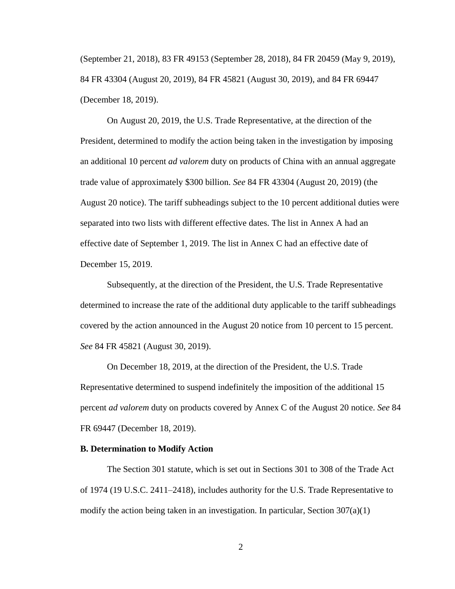(September 21, 2018), 83 FR 49153 (September 28, 2018), 84 FR 20459 (May 9, 2019), 84 FR 43304 (August 20, 2019), 84 FR 45821 (August 30, 2019), and 84 FR 69447 (December 18, 2019).

On August 20, 2019, the U.S. Trade Representative, at the direction of the President, determined to modify the action being taken in the investigation by imposing an additional 10 percent *ad valorem* duty on products of China with an annual aggregate trade value of approximately \$300 billion. *See* 84 FR 43304 (August 20, 2019) (the August 20 notice). The tariff subheadings subject to the 10 percent additional duties were separated into two lists with different effective dates. The list in Annex A had an effective date of September 1, 2019. The list in Annex C had an effective date of December 15, 2019.

Subsequently, at the direction of the President, the U.S. Trade Representative determined to increase the rate of the additional duty applicable to the tariff subheadings covered by the action announced in the August 20 notice from 10 percent to 15 percent. *See* 84 FR 45821 (August 30, 2019).

On December 18, 2019, at the direction of the President, the U.S. Trade Representative determined to suspend indefinitely the imposition of the additional 15 percent *ad valorem* duty on products covered by Annex C of the August 20 notice. *See* 84 FR 69447 (December 18, 2019).

#### **B. Determination to Modify Action**

The Section 301 statute, which is set out in Sections 301 to 308 of the Trade Act of 1974 (19 U.S.C. 2411–2418), includes authority for the U.S. Trade Representative to modify the action being taken in an investigation. In particular, Section  $307(a)(1)$ 

2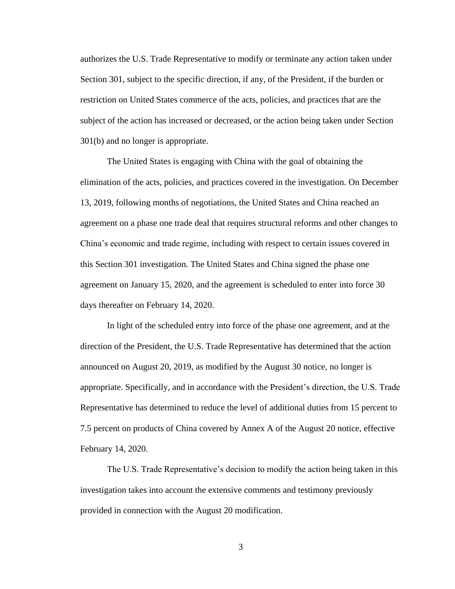authorizes the U.S. Trade Representative to modify or terminate any action taken under Section 301, subject to the specific direction, if any, of the President, if the burden or restriction on United States commerce of the acts, policies, and practices that are the subject of the action has increased or decreased, or the action being taken under Section 301(b) and no longer is appropriate.

The United States is engaging with China with the goal of obtaining the elimination of the acts, policies, and practices covered in the investigation. On December 13, 2019, following months of negotiations, the United States and China reached an agreement on a phase one trade deal that requires structural reforms and other changes to China's economic and trade regime, including with respect to certain issues covered in this Section 301 investigation. The United States and China signed the phase one agreement on January 15, 2020, and the agreement is scheduled to enter into force 30 days thereafter on February 14, 2020.

In light of the scheduled entry into force of the phase one agreement, and at the direction of the President, the U.S. Trade Representative has determined that the action announced on August 20, 2019, as modified by the August 30 notice, no longer is appropriate. Specifically, and in accordance with the President's direction, the U.S. Trade Representative has determined to reduce the level of additional duties from 15 percent to 7.5 percent on products of China covered by Annex A of the August 20 notice, effective February 14, 2020.

The U.S. Trade Representative's decision to modify the action being taken in this investigation takes into account the extensive comments and testimony previously provided in connection with the August 20 modification.

3